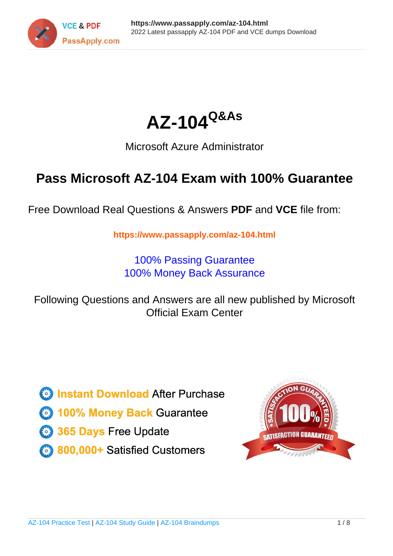



## Microsoft Azure Administrator

# **Pass Microsoft AZ-104 Exam with 100% Guarantee**

Free Download Real Questions & Answers **PDF** and **VCE** file from:

**https://www.passapply.com/az-104.html**

100% Passing Guarantee 100% Money Back Assurance

Following Questions and Answers are all new published by Microsoft Official Exam Center

**C** Instant Download After Purchase

**83 100% Money Back Guarantee** 

- 365 Days Free Update
- 800,000+ Satisfied Customers

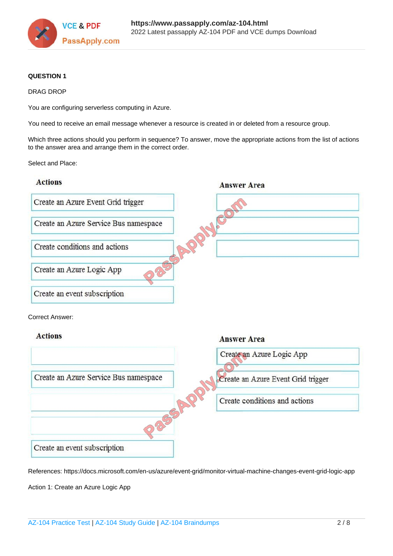

**Answer Area** 

#### **QUESTION 1**

#### DRAG DROP

You are configuring serverless computing in Azure.

You need to receive an email message whenever a resource is created in or deleted from a resource group.

Which three actions should you perform in sequence? To answer, move the appropriate actions from the list of actions to the answer area and arrange them in the correct order.

Select and Place:

## **Actions**



Create an event subscription

References: https://docs.microsoft.com/en-us/azure/event-grid/monitor-virtual-machine-changes-event-grid-logic-app

Action 1: Create an Azure Logic App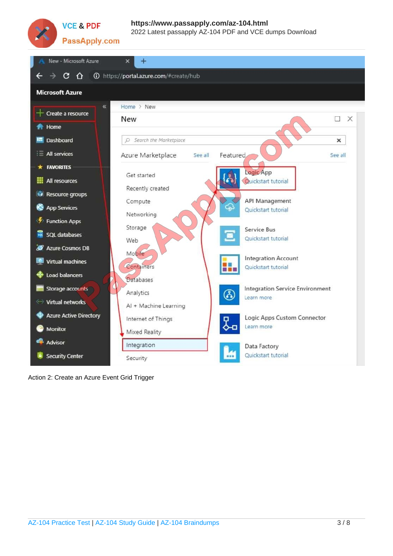

### **VCE & PDF** PassApply.com

### **https://www.passapply.com/az-104.html** 2022 Latest passapply AZ-104 PDF and VCE dumps Download



Action 2: Create an Azure Event Grid Trigger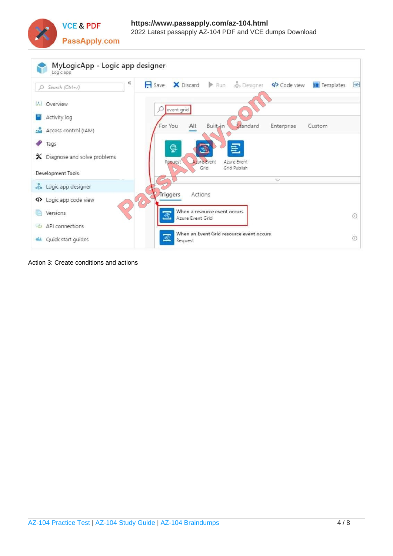



Action 3: Create conditions and actions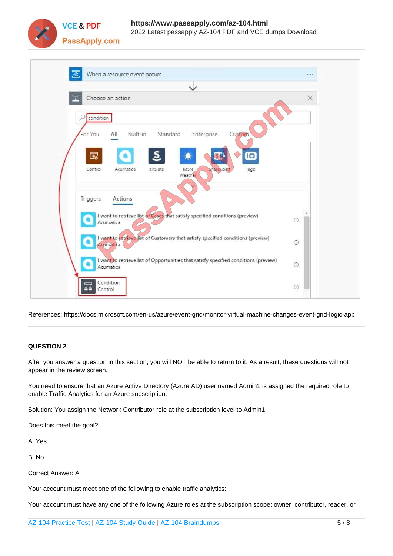

| When a resource event occurs                                                                      | $-111$     |
|---------------------------------------------------------------------------------------------------|------------|
|                                                                                                   |            |
| T<br>Choose an action                                                                             | ×          |
| condition<br>ρ                                                                                    |            |
|                                                                                                   |            |
| Built-in<br>Standard<br>For You<br>Enterprise<br>Custom<br>All                                    |            |
| 囻<br>IO                                                                                           |            |
|                                                                                                   |            |
| Control<br>MSN<br>airSlate<br>SharePoint<br>Tago<br>Acumatica<br>Weather                          |            |
|                                                                                                   |            |
|                                                                                                   |            |
| Actions<br>Triggers                                                                               |            |
|                                                                                                   |            |
| I want to retrieve list of Cases that satisfy specified conditions (preview)<br>Acumatica         | $^{\circ}$ |
|                                                                                                   |            |
| I want to retrieve list of Customers that satisfy specified conditions (preview)<br>Acumatica     | $\odot$    |
|                                                                                                   |            |
| I want to retrieve list of Opportunities that satisfy specified conditions (preview)<br>Acumatica | $\odot$    |

References: https://docs.microsoft.com/en-us/azure/event-grid/monitor-virtual-machine-changes-event-grid-logic-app

#### **QUESTION 2**

After you answer a question in this section, you will NOT be able to return to it. As a result, these questions will not appear in the review screen.

You need to ensure that an Azure Active Directory (Azure AD) user named Admin1 is assigned the required role to enable Traffic Analytics for an Azure subscription.

Solution: You assign the Network Contributor role at the subscription level to Admin1.

Does this meet the goal?

A. Yes

B. No

Correct Answer: A

Your account must meet one of the following to enable traffic analytics:

Your account must have any one of the following Azure roles at the subscription scope: owner, contributor, reader, or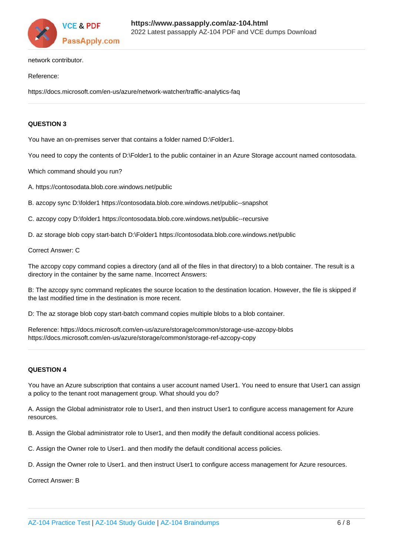

network contributor.

#### Reference:

https://docs.microsoft.com/en-us/azure/network-watcher/traffic-analytics-faq

#### **QUESTION 3**

You have an on-premises server that contains a folder named D:\Folder1.

You need to copy the contents of D:\Folder1 to the public container in an Azure Storage account named contosodata.

Which command should you run?

A. https://contosodata.blob.core.windows.net/public

B. azcopy sync D:\folder1 https://contosodata.blob.core.windows.net/public--snapshot

C. azcopy copy D:\folder1 https://contosodata.blob.core.windows.net/public--recursive

D. az storage blob copy start-batch D:\Folder1 https://contosodata.blob.core.windows.net/public

Correct Answer: C

The azcopy copy command copies a directory (and all of the files in that directory) to a blob container. The result is a directory in the container by the same name. Incorrect Answers:

B: The azcopy sync command replicates the source location to the destination location. However, the file is skipped if the last modified time in the destination is more recent.

D: The az storage blob copy start-batch command copies multiple blobs to a blob container.

Reference: https://docs.microsoft.com/en-us/azure/storage/common/storage-use-azcopy-blobs https://docs.microsoft.com/en-us/azure/storage/common/storage-ref-azcopy-copy

#### **QUESTION 4**

You have an Azure subscription that contains a user account named User1. You need to ensure that User1 can assign a policy to the tenant root management group. What should you do?

A. Assign the Global administrator role to User1, and then instruct User1 to configure access management for Azure resources.

B. Assign the Global administrator role to User1, and then modify the default conditional access policies.

C. Assign the Owner role to User1. and then modify the default conditional access policies.

D. Assign the Owner role to User1. and then instruct User1 to configure access management for Azure resources.

Correct Answer: B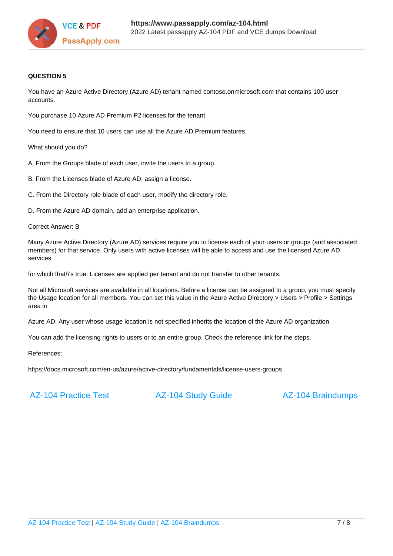

#### **QUESTION 5**

You have an Azure Active Directory (Azure AD) tenant named contoso.onmicrosoft.com that contains 100 user accounts.

You purchase 10 Azure AD Premium P2 licenses for the tenant.

You need to ensure that 10 users can use all the Azure AD Premium features.

What should you do?

A. From the Groups blade of each user, invite the users to a group.

B. From the Licenses blade of Azure AD, assign a license.

C. From the Directory role blade of each user, modify the directory role.

D. From the Azure AD domain, add an enterprise application.

Correct Answer: B

Many Azure Active Directory (Azure AD) services require you to license each of your users or groups (and associated members) for that service. Only users with active licenses will be able to access and use the licensed Azure AD services

for which that\\'s true. Licenses are applied per tenant and do not transfer to other tenants.

Not all Microsoft services are available in all locations. Before a license can be assigned to a group, you must specify the Usage location for all members. You can set this value in the Azure Active Directory > Users > Profile > Settings area in

Azure AD. Any user whose usage location is not specified inherits the location of the Azure AD organization.

You can add the licensing rights to users or to an entire group. Check the reference link for the steps.

References:

https://docs.microsoft.com/en-us/azure/active-directory/fundamentals/license-users-groups

[AZ-104 Practice Test](https://www.passapply.com/az-104.html) **[AZ-104 Study Guide](https://www.passapply.com/az-104.html)** [AZ-104 Braindumps](https://www.passapply.com/az-104.html)